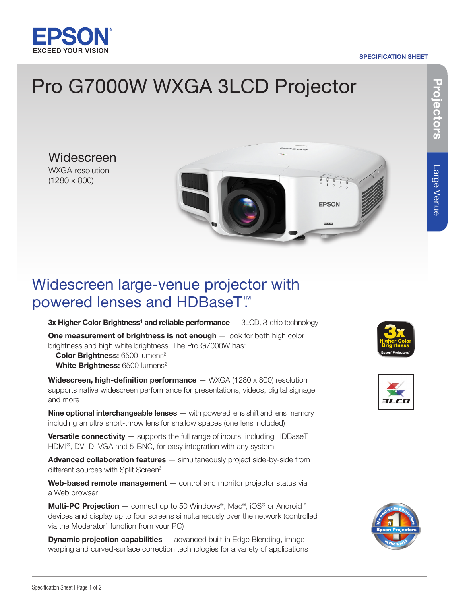

#### SPECIFICATION SHEET

**EPSON** 

# Pro G7000W WXGA 3LCD Projector

## **Widescreen**

WXGA resolution (1280 x 800)

## Widescreen large-venue projector with powered lenses and HDBaseT<sup>™</sup>.

3x Higher Color Brightness<sup>1</sup> and reliable performance  $-$  3LCD, 3-chip technology

**One measurement of brightness is not enough**  $-$  look for both high color brightness and high white brightness. The Pro G7000W has:

Color Brightness: 6500 lumens<sup>2</sup> White Brightness: 6500 lumens<sup>2</sup>

Widescreen, high-definition performance - WXGA (1280 x 800) resolution supports native widescreen performance for presentations, videos, digital signage and more

Nine optional interchangeable lenses — with powered lens shift and lens memory, including an ultra short-throw lens for shallow spaces (one lens included)

**Versatile connectivity**  $-$  supports the full range of inputs, including HDBaseT, HDMI®, DVI-D, VGA and 5-BNC, for easy integration with any system

Advanced collaboration features – simultaneously project side-by-side from different sources with Split Screen<sup>3</sup>

Web-based remote management  $-$  control and monitor projector status via a Web browser

**Multi-PC Projection**  $-$  connect up to 50 Windows<sup>®</sup>, Mac<sup>®</sup>, iOS<sup>®</sup> or Android<sup>™</sup> devices and display up to four screens simultaneously over the network (controlled via the Moderator4 function from your PC)

**Dynamic projection capabilities** - advanced built-in Edge Blending, image warping and curved-surface correction technologies for a variety of applications